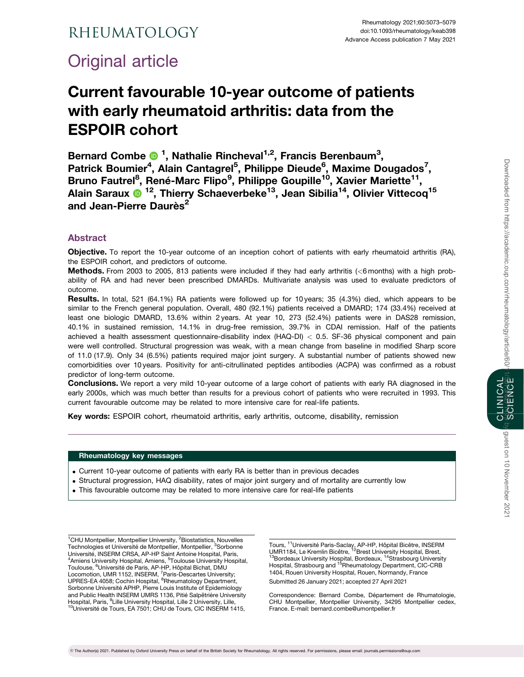# Rheumatology

# Original article

# Current favourable 10-year outcome of patients with early rheumatoid arthritis: data from the ESPOIR cohort

Bernard Combe <sup>1</sup>, Nathalie Rincheval<sup>1,2</sup>, Francis Berenbaum<sup>3</sup>, Patrick Boumier<sup>4</sup>, Alain Cantagrel<sup>5</sup>, Philippe Dieude<sup>6</sup>, Maxime Dougados<sup>7</sup>, Bruno Fautrel<sup>8</sup>, René-Marc Flipo<sup>9</sup>, Philippe Goupille<sup>10</sup>, Xavier Mariette<sup>11</sup>, Alain Saraux <sup>12</sup>, Thierry Schaeverbeke<sup>13</sup>, Jean Sibilia<sup>14</sup>, Olivier Vittecoq<sup>15</sup> and Jean-Pierre Daurès<sup>2</sup>

# Abstract

Objective. To report the 10-year outcome of an inception cohort of patients with early rheumatoid arthritis (RA), the ESPOIR cohort, and predictors of outcome.

Methods. From 2003 to 2005, 813 patients were included if they had early arthritis (<6 months) with a high probability of RA and had never been prescribed DMARDs. Multivariate analysis was used to evaluate predictors of outcome.

Results. In total, 521 (64.1%) RA patients were followed up for 10 years; 35 (4.3%) died, which appears to be similar to the French general population. Overall, 480 (92.1%) patients received a DMARD; 174 (33.4%) received at least one biologic DMARD, 13.6% within 2 years. At year 10, 273 (52.4%) patients were in DAS28 remission, 40.1% in sustained remission, 14.1% in drug-free remission, 39.7% in CDAI remission. Half of the patients achieved a health assessment questionnaire-disability index (HAQ-DI) < 0.5. SF-36 physical component and pain were well controlled. Structural progression was weak, with a mean change from baseline in modified Sharp score of 11.0 (17.9). Only 34 (6.5%) patients required major joint surgery. A substantial number of patients showed new comorbidities over 10 years. Positivity for anti-citrullinated peptides antibodies (ACPA) was confirmed as a robust predictor of long-term outcome.

Conclusions. We report a very mild 10-year outcome of a large cohort of patients with early RA diagnosed in the early 2000s, which was much better than results for a previous cohort of patients who were recruited in 1993. This current favourable outcome may be related to more intensive care for real-life patients.

Key words: ESPOIR cohort, rheumatoid arthritis, early arthritis, outcome, disability, remission

## Rheumatology key messages

- . Current 10-year outcome of patients with early RA is better than in previous decades
- . Structural progression, HAQ disability, rates of major joint surgery and of mortality are currently low
- . This favourable outcome may be related to more intensive care for real-life patients

<sup>1</sup>CHU Montpellier, Montpellier University, <sup>2</sup>Biostatistics, Nouvelles Technologies et Université de Montpellier, Montpellier, <sup>3</sup>Sorbonne Université, INSERM CRSA, AP-HP Saint Antoine Hospital, Paris, Amiens University Hospital, Amiens, <sup>5</sup>Toulouse University Hospital, Toulouse, <sup>6</sup>Université de Paris, AP-HP, Hôpital Bichat, DMU Locomotion, UMR 1152, INSERM, <sup>7</sup>Paris-Descartes University;<br>UPRES-EA 4058; Cochin Hospital, <sup>8</sup>Rheumatology Department, Sorbonne Université APHP, Pierre Louis Institute of Epidemiology and Public Health INSERM UMRS 1136, Pitié Salpêtrière University Hospital, Paris, <sup>9</sup>Lille University Hospital, Lille 2 University, Lille, <sup>1</sup><br><sup>10</sup>Université de Tours, EA 7501; CHU de Tours, CIC INSERM 1415,

Tours, <sup>11</sup>Université Paris-Saclay, AP-HP, Hôpital Bicêtre, INSERM<br>UMR1184, Le Kremlin Bicêtre, <sup>12</sup>Brest University Hospital, Brest,<br><sup>13</sup>Bordeaux University Hospital, Bordeaux, <sup>14</sup>Strasbourg University Hospital, Strasbourg and <sup>15</sup>Rheumatology Department, CIC-CRB 1404, Rouen University Hospital, Rouen, Normandy, France

Submitted 26 January 2021; accepted 27 April 2021

Correspondence: Bernard Combe, Département de Rhumatologie, CHU Montpellier, Montpellier University, 34295 Montpellier cedex, France. E-mail: bernard.combe@umontpellier.fr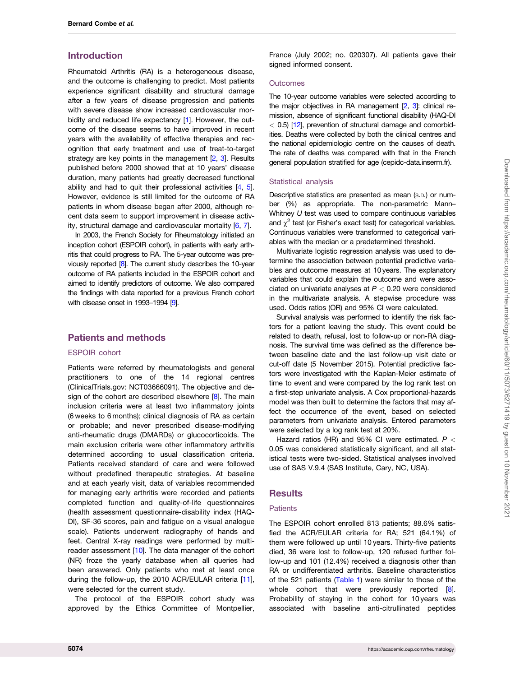## <span id="page-1-0"></span>Introduction

Rheumatoid Arthritis (RA) is a heterogeneous disease, and the outcome is challenging to predict. Most patients experience significant disability and structural damage after a few years of disease progression and patients with severe disease show increased cardiovascular morbidity and reduced life expectancy [[1](#page-5-0)]. However, the outcome of the disease seems to have improved in recent years with the availability of effective therapies and recognition that early treatment and use of treat-to-target strategy are key points in the management  $[2, 3]$  $[2, 3]$  $[2, 3]$  $[2, 3]$  $[2, 3]$ . Results published before 2000 showed that at 10 years' disease duration, many patients had greatly decreased functional ability and had to quit their professional activities [[4](#page-5-0), [5](#page-5-0)]. However, evidence is still limited for the outcome of RA patients in whom disease began after 2000, although recent data seem to support improvement in disease activity, structural damage and cardiovascular mortality [\[6,](#page-5-0) [7](#page-5-0)].

In 2003, the French Society for Rheumatology initiated an inception cohort (ESPOIR cohort), in patients with early arthritis that could progress to RA. The 5-year outcome was previously reported [\[8\]](#page-5-0). The current study describes the 10-year outcome of RA patients included in the ESPOIR cohort and aimed to identify predictors of outcome. We also compared the findings with data reported for a previous French cohort with disease onset in 1993-1994 [\[9](#page-5-0)].

# Patients and methods

## ESPOIR cohort

Patients were referred by rheumatologists and general practitioners to one of the 14 regional centres (ClinicalTrials.gov: NCT03666091). The objective and design of the cohort are described elsewhere  $[8]$  $[8]$ . The main inclusion criteria were at least two inflammatory joints (6 weeks to 6 months); clinical diagnosis of RA as certain or probable; and never prescribed disease-modifying anti-rheumatic drugs (DMARDs) or glucocorticoids. The main exclusion criteria were other inflammatory arthritis determined according to usual classification criteria. Patients received standard of care and were followed without predefined therapeutic strategies. At baseline and at each yearly visit, data of variables recommended for managing early arthritis were recorded and patients completed function and quality-of-life questionnaires (health assessment questionnaire-disability index (HAQ-DI), SF-36 scores, pain and fatigue on a visual analogue scale). Patients underwent radiography of hands and feet. Central X-ray readings were performed by multi-reader assessment [\[10\]](#page-5-0). The data manager of the cohort (NR) froze the yearly database when all queries had been answered. Only patients who met at least once during the follow-up, the 2010 ACR/EULAR criteria [[11](#page-5-0)], were selected for the current study.

The protocol of the ESPOIR cohort study was approved by the Ethics Committee of Montpellier, France (July 2002; no. 020307). All patients gave their signed informed consent.

#### **Outcomes**

The 10-year outcome variables were selected according to the major objectives in RA management [\[2](#page-5-0), [3\]](#page-5-0): clinical remission, absence of significant functional disability (HAQ-DI  $<$  0.5) [[12](#page-5-0)], prevention of structural damage and comorbidities. Deaths were collected by both the clinical centres and the national epidemiologic centre on the causes of death. The rate of deaths was compared with that in the French general population stratified for age (cepidc-data.inserm.fr).

## Statistical analysis

Descriptive statistics are presented as mean (S.D.) or number (%) as appropriate. The non-parametric Mann– Whitney U test was used to compare continuous variables and  $\chi^2$  test (or Fisher's exact test) for categorical variables. Continuous variables were transformed to categorical variables with the median or a predetermined threshold.

Multivariate logistic regression analysis was used to determine the association between potential predictive variables and outcome measures at 10years. The explanatory variables that could explain the outcome and were associated on univariate analyses at  $P < 0.20$  were considered in the multivariate analysis. A stepwise procedure was used. Odds ratios (OR) and 95% CI were calculated.

Survival analysis was performed to identify the risk factors for a patient leaving the study. This event could be related to death, refusal, lost to follow-up or non-RA diagnosis. The survival time was defined as the difference between baseline date and the last follow-up visit date or cut-off date (5 November 2015). Potential predictive factors were investigated with the Kaplan-Meier estimate of time to event and were compared by the log rank test on a first-step univariate analysis. A Cox proportional-hazards model was then built to determine the factors that may affect the occurrence of the event, based on selected parameters from univariate analysis. Entered parameters were selected by a log rank test at 20%.

Hazard ratios (HR) and 95% CI were estimated.  $P <$ 0.05 was considered statistically significant, and all statistical tests were two-sided. Statistical analyses involved use of SAS V.9.4 (SAS Institute, Cary, NC, USA).

# **Results**

## Patients

The ESPOIR cohort enrolled 813 patients; 88.6% satisfied the ACR/EULAR criteria for RA; 521 (64.1%) of them were followed up until 10 years. Thirty-five patients died, 36 were lost to follow-up, 120 refused further follow-up and 101 (12.4%) received a diagnosis other than RA or undifferentiated arthritis. Baseline characteristics of the 521 patients ([Table 1\)](#page-2-0) were similar to those of the whole cohort that were previously reported [[8](#page-5-0)]. Probability of staying in the cohort for 10 years was associated with baseline anti-citrullinated peptides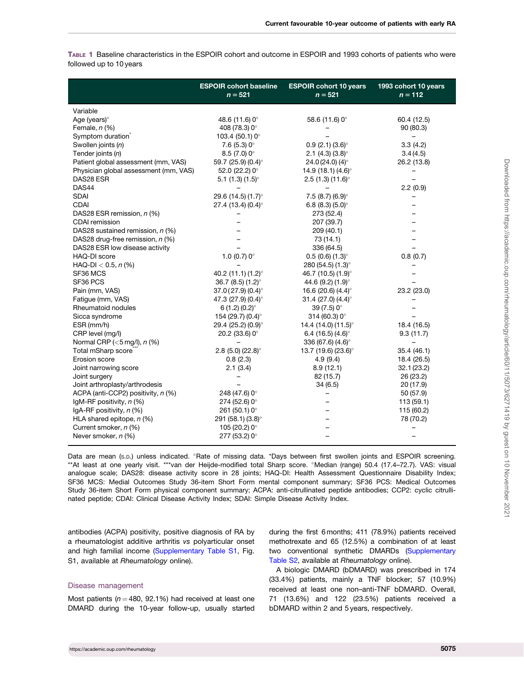<span id="page-2-0"></span>TABLE 1 Baseline characteristics in the ESPOIR cohort and outcome in ESPOIR and 1993 cohorts of patients who were followed up to 10 years

|                                       | <b>ESPOIR cohort baseline</b><br>$n = 521$ | <b>ESPOIR cohort 10 years</b><br>$n = 521$ | 1993 cohort 10 years<br>$n = 112$ |
|---------------------------------------|--------------------------------------------|--------------------------------------------|-----------------------------------|
| Variable                              |                                            |                                            |                                   |
| Age (years)°                          | 48.6 (11.6) 0°                             | 58.6 (11.6) $0^{\circ}$                    | 60.4 (12.5)                       |
| Female, $n$ (%)                       | 408 (78.3) 0°                              |                                            | 90 (80.3)                         |
| Symptom duration                      | 103.4 (50.1) $0^{\circ}$                   |                                            |                                   |
| Swollen joints (n)                    | $7.6(5.3)0^{\circ}$                        | $0.9(2.1)(3.6)$ °                          | 3.3(4.2)                          |
| Tender joints (n)                     | $8.5(7.0)0^{\circ}$                        | 2.1 (4.3) $(3.8)^\circ$                    | 3.4(4.5)                          |
| Patient global assessment (mm, VAS)   | 59.7 (25.9) $(0.4)^\circ$                  | 24.0 (24.0) (4) $^{\circ}$                 | 26.2 (13.8)                       |
| Physician global assessment (mm, VAS) | 52.0 (22.2) $0^{\circ}$                    | 14.9 (18.1) $(4.6)^\circ$                  |                                   |
| DAS28 ESR                             | 5.1 $(1.3)$ $(1.5)^\circ$                  | 2.5(1.3)(11.6)°                            |                                   |
| DAS44                                 |                                            |                                            | 2.2(0.9)                          |
| <b>SDAI</b>                           | 29.6 (14.5) (1.7)°                         | 7.5 (8.7) (6.9) $^{\circ}$                 |                                   |
| <b>CDAI</b>                           | 27.4 (13.4) $(0.4)^\circ$                  | 6.8 (8.3) $(5.0)^\circ$                    |                                   |
| DAS28 ESR remission, n (%)            |                                            | 273 (52.4)                                 |                                   |
| <b>CDAI</b> remission                 |                                            | 207 (39.7)                                 |                                   |
| DAS28 sustained remission, n (%)      |                                            | 209 (40.1)                                 |                                   |
| DAS28 drug-free remission, n (%)      |                                            | 73 (14.1)                                  |                                   |
| DAS28 ESR low disease activity        |                                            | 336 (64.5)                                 |                                   |
| HAQ-DI score                          | 1.0 (0.7) $0^{\circ}$                      | $0.5(0.6)(1.3)$ °                          | 0.8(0.7)                          |
| HAQ-DI < 0.5, $n$ (%)                 |                                            | 280 (54.5) (1.3)°                          |                                   |
| SF36 MCS                              | 40.2 (11.1) (1.2)°                         | 46.7 (10.5) (1.9)°                         |                                   |
| SF36 PCS                              | 36.7 (8.5) $(1.2)^\circ$                   | 44.6 (9.2) (1.9)°                          |                                   |
| Pain (mm, VAS)                        | $37.0(27.9)(0.4)$ <sup>o</sup>             | 16.6 (20.6) $(4.4)^\circ$                  | 23.2 (23.0)                       |
| Fatigue (mm, VAS)                     | 47.3 (27.9) (0.4)°                         | 31.4 (27.0) $(4.4)^\circ$                  |                                   |
| Rheumatoid nodules                    | 6(1.2)(0.2)                                | 39 (7.5) 0°                                |                                   |
| Sicca syndrome                        | 154 (29.7) (0.4)°                          | $314(60.3)0^{\circ}$                       |                                   |
| ESR (mm/h)                            | 29.4 (25.2) (0.9)°                         | 14.4 (14.0) (11.5)°                        | 18.4 (16.5)                       |
| CRP level (mg/l)                      | 20.2 (33.6) $0^{\circ}$                    | 6.4 (16.5) $(4.6)^\circ$                   | 9.3(11.7)                         |
| Normal CRP ( $<$ 5 mg/l), $n$ (%)     |                                            | 336 (67.6) (4.6)°                          |                                   |
| Total mSharp score                    | $2.8$ (5.0) (22.8) $^{\circ}$              | 13.7 (19.6) (23.6)°                        | 35.4 (46.1)                       |
| Erosion score                         | 0.8(2.3)                                   | 4.9(9.4)                                   | 18.4 (26.5)                       |
| Joint narrowing score                 | 2.1(3.4)                                   | 8.9(12.1)                                  | 32.1(23.2)                        |
| Joint surgery                         |                                            | 82 (15.7)                                  | 26 (23.2)                         |
| Joint arthroplasty/arthrodesis        |                                            | 34(6.5)                                    | 20 (17.9)                         |
| ACPA (anti-CCP2) positivity, n (%)    | 248 (47.6) 0°                              |                                            | 50 (57.9)                         |
| IgM-RF positivity, n (%)              | $274(52.6)0$ °                             |                                            | 113(59.1)                         |
| IgA-RF positivity, n (%)              | 261 (50.1) $0^{\circ}$                     |                                            | 115 (60.2)                        |
| HLA shared epitope, $n$ (%)           | 291 (58.1) (3.8)°                          |                                            | 78 (70.2)                         |
| Current smoker, n (%)                 | 105 (20.2) 0°                              |                                            |                                   |
| Never smoker, n (%)                   | 277 (53.2) 0°                              |                                            |                                   |

Data are mean (s.D.) unless indicated. <sup>o</sup>Rate of missing data. \*Days between first swollen joints and ESPOIR screening. \*\*At least at one yearly visit. \*\*\*van der Heijde-modified total Sharp score. °Median (range) 50.4 (17.4–72.7). VAS: visual analogue scale; DAS28: disease activity score in 28 joints; HAQ-DI: Health Assessment Questionnaire Disability Index; SF36 MCS: Medial Outcomes Study 36-item Short Form mental component summary; SF36 PCS: Medical Outcomes Study 36-item Short Form physical component summary; ACPA: anti-citrullinated peptide antibodies; CCP2: cyclic citrullinated peptide; CDAI: Clinical Disease Activity Index; SDAI: Simple Disease Activity Index.

antibodies (ACPA) positivity, positive diagnosis of RA by a rheumatologist additive arthritis vs polyarticular onset and high familial income [\(Supplementary Table S1,](https://academic.oup.com/rheumatology/article-lookup/doi/10.1093/rheumatology/keab398#supplementary-data) Fig. S1, available at Rheumatology online).

#### Disease management

Most patients ( $n = 480$ , 92.1%) had received at least one DMARD during the 10-year follow-up, usually started during the first 6 months; 411 (78.9%) patients received methotrexate and 65 (12.5%) a combination of at least two conventional synthetic DMARDs [\(Supplementary](https://academic.oup.com/rheumatology/article-lookup/doi/10.1093/rheumatology/keab398#supplementary-data) [Table S2](https://academic.oup.com/rheumatology/article-lookup/doi/10.1093/rheumatology/keab398#supplementary-data), available at Rheumatology online).

A biologic DMARD (bDMARD) was prescribed in 174 (33.4%) patients, mainly a TNF blocker; 57 (10.9%) received at least one non–anti-TNF bDMARD. Overall, 71 (13.6%) and 122 (23.5%) patients received a bDMARD within 2 and 5 years, respectively.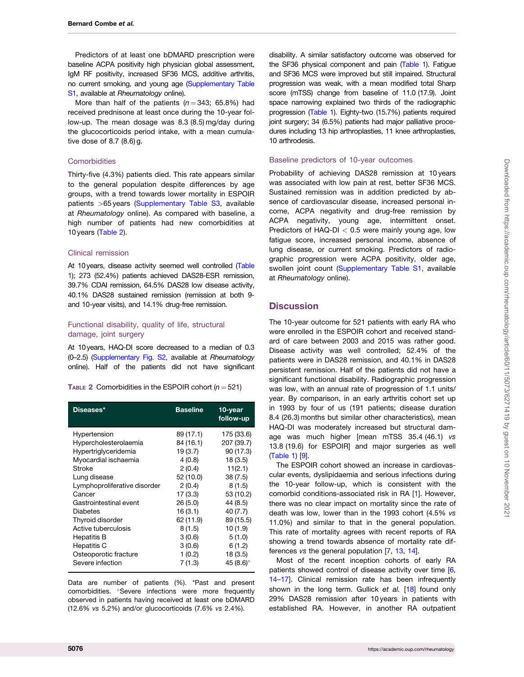<span id="page-3-0"></span>Predictors of at least one bDMARD prescription were baseline ACPA positivity high physician global assessment, IgM RF positivity, increased SF36 MCS, additive arthritis, no current smoking, and young age ([Supplementary Table](https://academic.oup.com/rheumatology/article-lookup/doi/10.1093/rheumatology/keab398#supplementary-data) [S1](https://academic.oup.com/rheumatology/article-lookup/doi/10.1093/rheumatology/keab398#supplementary-data), available at Rheumatology online).

More than half of the patients ( $n = 343$ ; 65.8%) had received prednisone at least once during the 10-year follow-up. The mean dosage was 8.3 (8.5) mg/day during the glucocorticoids period intake, with a mean cumulative dose of 8.7 (8.6) g.

#### **Comorbidities**

Thirty-five (4.3%) patients died. This rate appears similar to the general population despite differences by age groups, with a trend towards lower mortality in ESPOIR patients >65 years [\(Supplementary Table S3](https://academic.oup.com/rheumatology/article-lookup/doi/10.1093/rheumatology/keab398#supplementary-data), available at Rheumatology online). As compared with baseline, a high number of patients had new comorbidities at 10 years (Table 2).

## Clinical remission

At 10years, disease activity seemed well controlled ([Table](#page-2-0) [1\)](#page-2-0); 273 (52.4%) patients achieved DAS28-ESR remission, 39.7% CDAI remission, 64.5% DAS28 low disease activity, 40.1% DAS28 sustained remission (remission at both 9 and 10-year visits), and 14.1% drug-free remission.

## Functional disability, quality of life, structural damage, joint surgery

At 10years, HAQ-DI score decreased to a median of 0.3 (0–2.5) ([Supplementary Fig. S2,](https://academic.oup.com/rheumatology/article-lookup/doi/10.1093/rheumatology/keab398#supplementary-data) available at Rheumatology online). Half of the patients did not have significant

TABLE 2 Comorbidities in the ESPOIR cohort ( $n = 521$ )

| Diseases*                    | <b>Baseline</b> | 10-year<br>follow-up |
|------------------------------|-----------------|----------------------|
| Hypertension                 | 89 (17.1)       | 175 (33.6)           |
| Hypercholesterolaemia        | 84 (16.1)       | 207 (39.7)           |
| Hypertriglyceridemia         | 19(3.7)         | 90 (17.3)            |
| Myocardial ischaemia         | 4(0.8)          | 18(3.5)              |
| Stroke                       | 2(0.4)          | 11(2.1)              |
| Lung disease                 | 52 (10.0)       | 38(7.5)              |
| Lymphoproliferative disorder | 2(0.4)          | 8(1.5)               |
| Cancer                       | 17 (3.3)        | 53 (10.2)            |
| Gastrointestinal event       | 26(5.0)         | 44 (8.5)             |
| Diabetes                     | 16(3.1)         | 40 (7.7)             |
| Thyroid disorder             | 62 (11.9)       | 89 (15.5)            |
| Active tuberculosis          | 8(1.5)          | 10(1.9)              |
| Hepatitis B                  | 3(0.6)          | 5(1.0)               |
| Hepatitis C                  | 3(0.6)          | 6(1.2)               |
| Osteoporotic fracture        | 1(0.2)          | 18(3.5)              |
| Severe infection             | 7(1.3)          | 45 $(8.6)$ °         |

Data are number of patients (%). \*Past and present comorbidities. <sup>o</sup>Severe infections were more frequently observed in patients having received at least one bDMARD (12.6% vs 5.2%) and/or glucocorticoids (7.6% vs 2.4%).

disability. A similar satisfactory outcome was observed for the SF36 physical component and pain [\(Table 1](#page-2-0)). Fatigue and SF36 MCS were improved but still impaired. Structural progression was weak, with a mean modified total Sharp score (mTSS) change from baseline of 11.0 (17.9). Joint space narrowing explained two thirds of the radiographic progression [\(Table 1](#page-2-0)). Eighty-two (15.7%) patients required joint surgery; 34 (6.5%) patients had major palliative procedures including 13 hip arthroplasties, 11 knee arthroplasties, 10 arthrodesis.

#### Baseline predictors of 10-year outcomes

Probability of achieving DAS28 remission at 10 years was associated with low pain at rest, better SF36 MCS. Sustained remission was in addition predicted by absence of cardiovascular disease, increased personal income, ACPA negativity and drug-free remission by ACPA negativity, young age, intermittent onset. Predictors of HAQ-DI  $<$  0.5 were mainly young age, low fatigue score, increased personal income, absence of lung disease, or current smoking. Predictors of radiographic progression were ACPA positivity, older age, swollen joint count ([Supplementary Table S1](https://academic.oup.com/rheumatology/article-lookup/doi/10.1093/rheumatology/keab398#supplementary-data), available at Rheumatology online).

## **Discussion**

The 10-year outcome for 521 patients with early RA who were enrolled in the ESPOIR cohort and received standard of care between 2003 and 2015 was rather good. Disease activity was well controlled; 52.4% of the patients were in DAS28 remission, and 40.1% in DAS28 persistent remission. Half of the patients did not have a significant functional disability. Radiographic progression was low, with an annual rate of progression of 1.1 units/ year. By comparison, in an early arthritis cohort set up in 1993 by four of us (191 patients; disease duration 8.4 (26.3) months but similar other characteristics), mean HAQ-DI was moderately increased but structural damage was much higher [mean mTSS 35.4 (46.1) vs 13.8 (19.6) for ESPOIR] and major surgeries as well ([Table 1](#page-2-0)) [[9](#page-5-0)].

The ESPOIR cohort showed an increase in cardiovascular events, dyslipidaemia and serious infections during the 10-year follow-up, which is consistent with the comorbid conditions-associated risk in RA [\[1](#page-5-0)]. However, there was no clear impact on mortality since the rate of death was low, lower than in the 1993 cohort (4.5% vs 11.0%) and similar to that in the general population. This rate of mortality agrees with recent reports of RA showing a trend towards absence of mortality rate differences vs the general population [\[7,](#page-5-0) [13](#page-5-0), [14\]](#page-5-0).

Most of the recent inception cohorts of early RA patients showed control of disease activity over time [[6,](#page-5-0) [14](#page-5-0)[–17\]](#page-6-0). Clinical remission rate has been infrequently shown in the long term. Gullick et al. [[18](#page-6-0)] found only 29% DAS28 remission after 10 years in patients with established RA. However, in another RA outpatient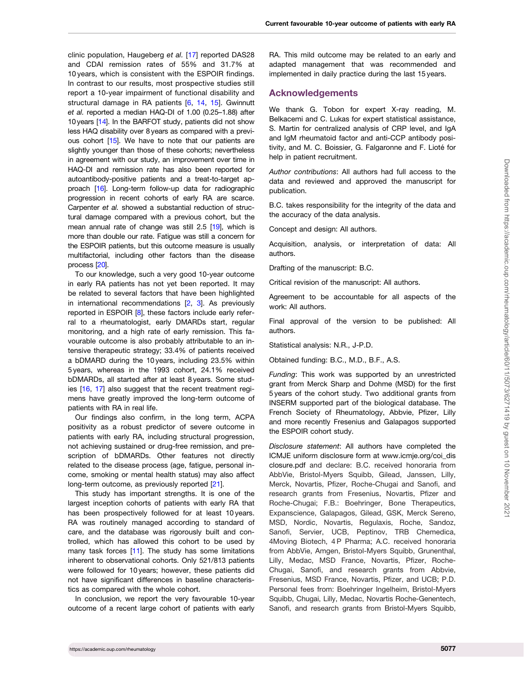<span id="page-4-0"></span>clinic population, Haugeberg et al. [[17](#page-6-0)] reported DAS28 and CDAI remission rates of 55% and 31.7% at 10 years, which is consistent with the ESPOIR findings. In contrast to our results, most prospective studies still report a 10-year impairment of functional disability and structural damage in RA patients [[6,](#page-5-0) [14,](#page-5-0) [15\]](#page-5-0). Gwinnutt et al. reported a median HAQ-DI of 1.00 (0.25–1.88) after 10years [[14\]](#page-5-0). In the BARFOT study, patients did not show less HAQ disability over 8 years as compared with a previ-ous cohort [[15\]](#page-5-0). We have to note that our patients are slightly younger than those of these cohorts; nevertheless in agreement with our study, an improvement over time in HAQ-DI and remission rate has also been reported for autoantibody-positive patients and a treat-to-target approach [[16\]](#page-5-0). Long-term follow-up data for radiographic progression in recent cohorts of early RA are scarce. Carpenter et al. showed a substantial reduction of structural damage compared with a previous cohort, but the mean annual rate of change was still 2.5 [[19\]](#page-6-0), which is more than double our rate. Fatigue was still a concern for the ESPOIR patients, but this outcome measure is usually multifactorial, including other factors than the disease process [[20\]](#page-6-0).

To our knowledge, such a very good 10-year outcome in early RA patients has not yet been reported. It may be related to several factors that have been highlighted in international recommendations  $[2, 3]$  $[2, 3]$  $[2, 3]$ . As previously reported in ESPOIR [\[8\]](#page-5-0), these factors include early referral to a rheumatologist, early DMARDs start, regular monitoring, and a high rate of early remission. This favourable outcome is also probably attributable to an intensive therapeutic strategy; 33.4% of patients received a bDMARD during the 10 years, including 23.5% within 5 years, whereas in the 1993 cohort, 24.1% received bDMARDs, all started after at least 8 years. Some studies [[16](#page-5-0), [17](#page-6-0)] also suggest that the recent treatment regimens have greatly improved the long-term outcome of patients with RA in real life.

Our findings also confirm, in the long term, ACPA positivity as a robust predictor of severe outcome in patients with early RA, including structural progression, not achieving sustained or drug-free remission, and prescription of bDMARDs. Other features not directly related to the disease process (age, fatigue, personal income, smoking or mental health status) may also affect long-term outcome, as previously reported [\[21\]](#page-6-0).

This study has important strengths. It is one of the largest inception cohorts of patients with early RA that has been prospectively followed for at least 10 years. RA was routinely managed according to standard of care, and the database was rigorously built and controlled, which has allowed this cohort to be used by many task forces [[11\]](#page-5-0). The study has some limitations inherent to observational cohorts. Only 521/813 patients were followed for 10 years; however, these patients did not have significant differences in baseline characteristics as compared with the whole cohort.

In conclusion, we report the very favourable 10-year outcome of a recent large cohort of patients with early

RA. This mild outcome may be related to an early and adapted management that was recommended and implemented in daily practice during the last 15 years.

## Acknowledgements

We thank G. Tobon for expert X-ray reading, M. Belkacemi and C. Lukas for expert statistical assistance, S. Martin for centralized analysis of CRP level, and IgA and IgM rheumatoid factor and anti-CCP antibody positivity, and M. C. Boissier, G. Falgaronne and F. Lioté for help in patient recruitment.

Author contributions: All authors had full access to the data and reviewed and approved the manuscript for publication.

B.C. takes responsibility for the integrity of the data and the accuracy of the data analysis.

Concept and design: All authors.

Acquisition, analysis, or interpretation of data: All authors.

Drafting of the manuscript: B.C.

Critical revision of the manuscript: All authors.

Agreement to be accountable for all aspects of the work: All authors.

Final approval of the version to be published: All authors.

Statistical analysis: N.R., J-P.D.

Obtained funding: B.C., M.D., B.F., A.S.

Funding: This work was supported by an unrestricted grant from Merck Sharp and Dohme (MSD) for the first 5 years of the cohort study. Two additional grants from INSERM supported part of the biological database. The French Society of Rheumatology, Abbvie, Pfizer, Lilly and more recently Fresenius and Galapagos supported the ESPOIR cohort study.

Disclosure statement: All authors have completed the ICMJE uniform disclosure form at [www.icmje.org/coi\\_dis](http://www.icmje.org/coi_disclosure.pdf) [closure.pdf](http://www.icmje.org/coi_disclosure.pdf) and declare: B.C. received honoraria from AbbVie, Bristol-Myers Squibb, Gilead, Janssen, Lilly, Merck, Novartis, Pfizer, Roche-Chugai and Sanofi, and research grants from Fresenius, Novartis, Pfizer and Roche-Chugai; F.B.: Boehringer, Bone Therapeutics, Expanscience, Galapagos, Gilead, GSK, Merck Sereno, MSD, Nordic, Novartis, Regulaxis, Roche, Sandoz, Sanofi, Servier, UCB, Peptinov, TRB Chemedica, 4Moving Biotech, 4 P Pharma; A.C. received honoraria from AbbVie, Amgen, Bristol-Myers Squibb, Grunenthal, Lilly, Medac, MSD France, Novartis, Pfizer, Roche-Chugai, Sanofi, and research grants from Abbvie, Fresenius, MSD France, Novartis, Pfizer, and UCB; P.D. Personal fees from: Boehringer Ingelheim, Bristol-Myers Squibb, Chugai, Lilly, Medac, Novartis Roche-Genentech, Sanofi, and research grants from Bristol-Myers Squibb,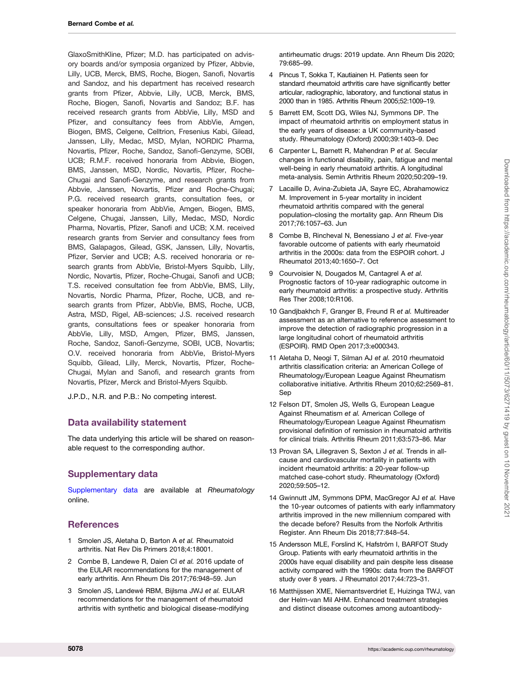<span id="page-5-0"></span>GlaxoSmithKline, Pfizer; M.D. has participated on advisory boards and/or symposia organized by Pfizer, Abbvie, Lilly, UCB, Merck, BMS, Roche, Biogen, Sanofi, Novartis and Sandoz, and his department has received research grants from Pfizer, Abbvie, Lilly, UCB, Merck, BMS, Roche, Biogen, Sanofi, Novartis and Sandoz; B.F. has received research grants from AbbVie, Lilly, MSD and Pfizer, and consultancy fees from AbbVie, Amgen, Biogen, BMS, Celgene, Celltrion, Fresenius Kabi, Gilead, Janssen, Lilly, Medac, MSD, Mylan, NORDIC Pharma, Novartis, Pfizer, Roche, Sandoz, Sanofi-Genzyme, SOBI, UCB; R.M.F. received honoraria from Abbvie, Biogen, BMS, Janssen, MSD, Nordic, Novartis, Pfizer, Roche-Chugai and Sanofi-Genzyme, and research grants from Abbvie, Janssen, Novartis, Pfizer and Roche-Chugai; P.G. received research grants, consultation fees, or speaker honoraria from AbbVie, Amgen, Biogen, BMS, Celgene, Chugai, Janssen, Lilly, Medac, MSD, Nordic Pharma, Novartis, Pfizer, Sanofi and UCB; X.M. received research grants from Servier and consultancy fees from BMS, Galapagos, Gilead, GSK, Janssen, Lilly, Novartis, Pfizer, Servier and UCB; A.S. received honoraria or research grants from AbbVie, Bristol-Myers Squibb, Lilly, Nordic, Novartis, Pfizer, Roche-Chugai, Sanofi and UCB; T.S. received consultation fee from AbbVie, BMS, Lilly, Novartis, Nordic Pharma, Pfizer, Roche, UCB, and research grants from Pfizer, AbbVie, BMS, Roche, UCB, Astra, MSD, Rigel, AB-sciences; J.S. received research grants, consultations fees or speaker honoraria from AbbVie, Lilly, MSD, Amgen, Pfizer, BMS, Janssen, Roche, Sandoz, Sanofi-Genzyme, SOBI, UCB, Novartis; O.V. received honoraria from AbbVie, Bristol-Myers Squibb, Gilead, Lilly, Merck, Novartis, Pfizer, Roche-Chugai, Mylan and Sanofi, and research grants from Novartis, Pfizer, Merck and Bristol-Myers Squibb.

J.P.D., N.R. and P.B.: No competing interest.

# Data availability statement

The data underlying this article will be shared on reasonable request to the corresponding author.

# Supplementary data

[Supplementary data](https://academic.oup.com/rheumatology/article-lookup/doi/10.1093/rheumatology/keab398#supplementary-data) are available at Rheumatology online.

# **References**

- [1](#page-1-0) Smolen JS, Aletaha D, Barton A et al. Rheumatoid arthritis. Nat Rev Dis Primers 2018;4:18001.
- [2](#page-1-0) Combe B, Landewe R, Daien CI et al. 2016 update of the EULAR recommendations for the management of early arthritis. Ann Rheum Dis 2017;76:948–59. Jun
- [3](#page-1-0) Smolen JS, Landewé RBM, Bijlsma JWJ et al. EULAR recommendations for the management of rheumatoid arthritis with synthetic and biological disease-modifying

antirheumatic drugs: 2019 update. Ann Rheum Dis 2020; 79:685–99.

- [4](#page-1-0) Pincus T, Sokka T, Kautiainen H. Patients seen for standard rheumatoid arthritis care have significantly better articular, radiographic, laboratory, and functional status in 2000 than in 1985. Arthritis Rheum 2005;52:1009–19.
- [5](#page-1-0) Barrett EM, Scott DG, Wiles NJ, Symmons DP. The impact of rheumatoid arthritis on employment status in the early years of disease: a UK community-based study. Rheumatology (Oxford) 2000;39:1403–9. Dec
- [6](#page-1-0) Carpenter L, Barnett R, Mahendran P et al. Secular changes in functional disability, pain, fatigue and mental well-being in early rheumatoid arthritis. A longitudinal meta-analysis. Semin Arthritis Rheum 2020;50:209–19.
- [7](#page-1-0) Lacaille D, Avina-Zubieta JA, Sayre EC, Abrahamowicz M. Improvement in 5-year mortality in incident rheumatoid arthritis compared with the general population–closing the mortality gap. Ann Rheum Dis 2017;76:1057–63. Jun
- [8](#page-1-0) Combe B, Rincheval N, Benessiano J et al. Five-year favorable outcome of patients with early rheumatoid arthritis in the 2000s: data from the ESPOIR cohort. J Rheumatol 2013;40:1650–7. Oct
- [9](#page-1-0) Courvoisier N, Dougados M, Cantagrel A et al. Prognostic factors of 10-year radiographic outcome in early rheumatoid arthritis: a prospective study. Arthritis Res Ther 2008;10:R106.
- [10](#page-1-0) Gandjbakhch F, Granger B, Freund R et al. Multireader assessment as an alternative to reference assessment to improve the detection of radiographic progression in a large longitudinal cohort of rheumatoid arthritis (ESPOIR). RMD Open 2017;3:e000343.
- [11](#page-1-0) Aletaha D, Neogi T, Silman AJ et al. 2010 rheumatoid arthritis classification criteria: an American College of Rheumatology/European League Against Rheumatism collaborative initiative. Arthritis Rheum 2010;62:2569–81. Sep
- [12](#page-1-0) Felson DT, Smolen JS, Wells G, European League Against Rheumatism et al. American College of Rheumatology/European League Against Rheumatism provisional definition of remission in rheumatoid arthritis for clinical trials. Arthritis Rheum 2011;63:573–86. Mar
- [13](#page-3-0) Provan SA, Lillegraven S, Sexton J et al. Trends in allcause and cardiovascular mortality in patients with incident rheumatoid arthritis: a 20-year follow-up matched case-cohort study. Rheumatology (Oxford) 2020;59:505–12.
- [14](#page-3-0) Gwinnutt JM, Symmons DPM, MacGregor AJ et al. Have the 10-year outcomes of patients with early inflammatory arthritis improved in the new millennium compared with the decade before? Results from the Norfolk Arthritis Register. Ann Rheum Dis 2018;77:848–54.
- [15](#page-4-0) Andersson MLE, Forslind K, Hafström I, BARFOT Study Group. Patients with early rheumatoid arthritis in the 2000s have equal disability and pain despite less disease activity compared with the 1990s: data from the BARFOT study over 8 years. J Rheumatol 2017;44:723–31.
- [16](#page-4-0) Matthijssen XME, Niemantsverdriet E, Huizinga TWJ, van der Helm-van Mil AHM. Enhanced treatment strategies and distinct disease outcomes among autoantibody-